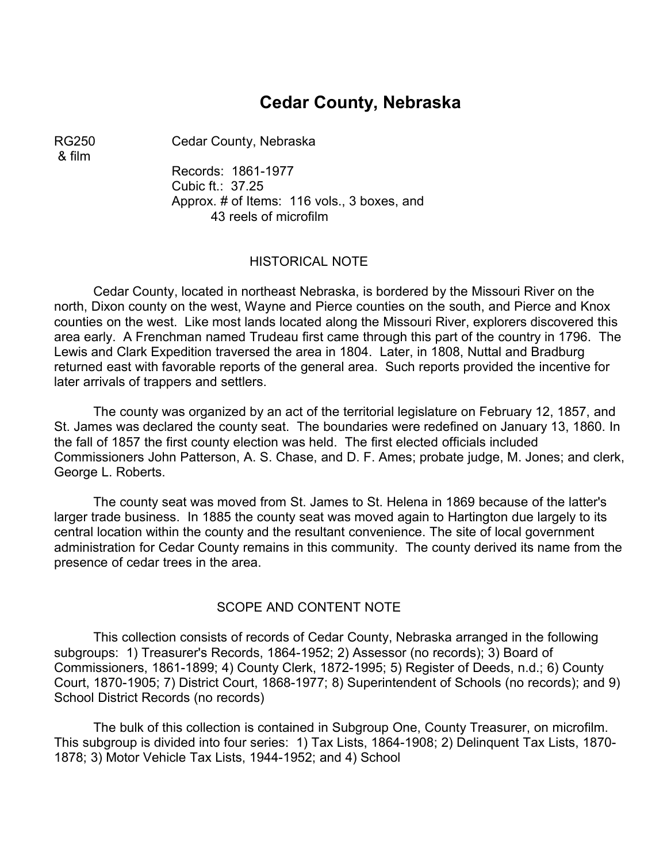## **Cedar County, Nebraska**

& film

RG250 Cedar County, Nebraska

Records: 1861-1977 Cubic ft.: 37.25 Approx. # of Items: 116 vols., 3 boxes, and 43 reels of microfilm

#### HISTORICAL NOTE

Cedar County, located in northeast Nebraska, is bordered by the Missouri River on the north, Dixon county on the west, Wayne and Pierce counties on the south, and Pierce and Knox counties on the west. Like most lands located along the Missouri River, explorers discovered this area early. A Frenchman named Trudeau first came through this part of the country in 1796. The Lewis and Clark Expedition traversed the area in 1804. Later, in 1808, Nuttal and Bradburg returned east with favorable reports of the general area. Such reports provided the incentive for later arrivals of trappers and settlers.

The county was organized by an act of the territorial legislature on February 12, 1857, and St. James was declared the county seat. The boundaries were redefined on January 13, 1860. In the fall of 1857 the first county election was held. The first elected officials included Commissioners John Patterson, A. S. Chase, and D. F. Ames; probate judge, M. Jones; and clerk, George L. Roberts.

The county seat was moved from St. James to St. Helena in 1869 because of the latter's larger trade business. In 1885 the county seat was moved again to Hartington due largely to its central location within the county and the resultant convenience. The site of local government administration for Cedar County remains in this community. The county derived its name from the presence of cedar trees in the area.

#### SCOPE AND CONTENT NOTE

This collection consists of records of Cedar County, Nebraska arranged in the following subgroups: 1) Treasurer's Records, 1864-1952; 2) Assessor (no records); 3) Board of Commissioners, 1861-1899; 4) County Clerk, 1872-1995; 5) Register of Deeds, n.d.; 6) County Court, 1870-1905; 7) District Court, 1868-1977; 8) Superintendent of Schools (no records); and 9) School District Records (no records)

The bulk of this collection is contained in Subgroup One, County Treasurer, on microfilm. This subgroup is divided into four series: 1) Tax Lists, 1864-1908; 2) Delinquent Tax Lists, 1870- 1878; 3) Motor Vehicle Tax Lists, 1944-1952; and 4) School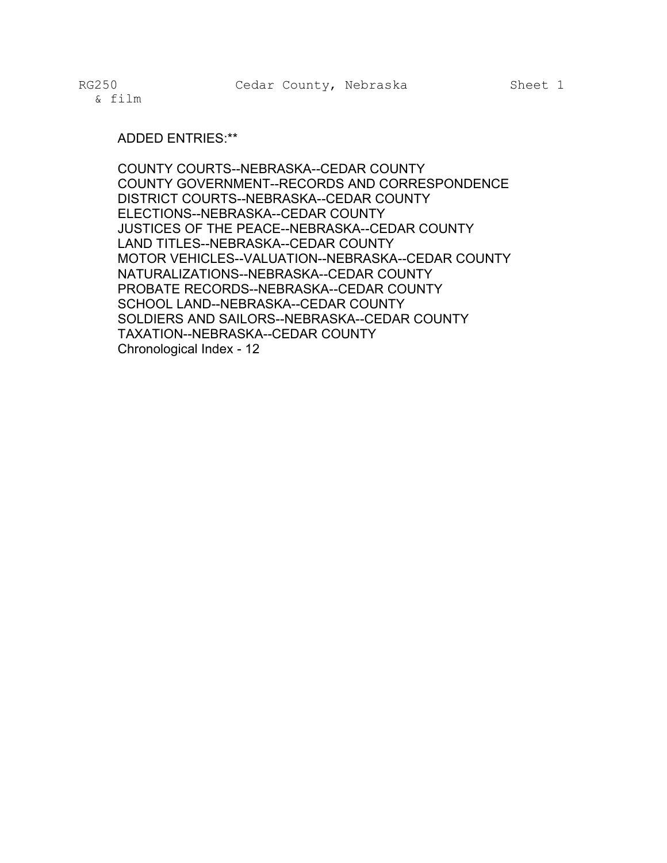#### ADDED ENTRIES:\*\*

COUNTY COURTS--NEBRASKA--CEDAR COUNTY COUNTY GOVERNMENT--RECORDS AND CORRESPONDENCE DISTRICT COURTS--NEBRASKA--CEDAR COUNTY ELECTIONS--NEBRASKA--CEDAR COUNTY JUSTICES OF THE PEACE--NEBRASKA--CEDAR COUNTY LAND TITLES--NEBRASKA--CEDAR COUNTY MOTOR VEHICLES--VALUATION--NEBRASKA--CEDAR COUNTY NATURALIZATIONS--NEBRASKA--CEDAR COUNTY PROBATE RECORDS--NEBRASKA--CEDAR COUNTY SCHOOL LAND--NEBRASKA--CEDAR COUNTY SOLDIERS AND SAILORS--NEBRASKA--CEDAR COUNTY TAXATION--NEBRASKA--CEDAR COUNTY Chronological Index - 12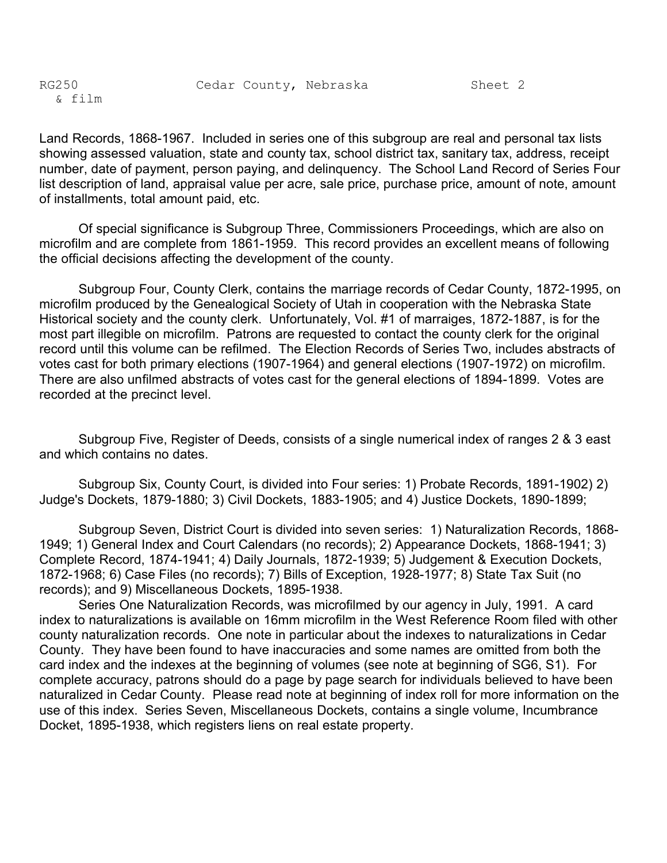Land Records, 1868-1967. Included in series one of this subgroup are real and personal tax lists showing assessed valuation, state and county tax, school district tax, sanitary tax, address, receipt number, date of payment, person paying, and delinquency. The School Land Record of Series Four list description of land, appraisal value per acre, sale price, purchase price, amount of note, amount of installments, total amount paid, etc.

Of special significance is Subgroup Three, Commissioners Proceedings, which are also on microfilm and are complete from 1861-1959. This record provides an excellent means of following the official decisions affecting the development of the county.

Subgroup Four, County Clerk, contains the marriage records of Cedar County, 1872-1995, on microfilm produced by the Genealogical Society of Utah in cooperation with the Nebraska State Historical society and the county clerk. Unfortunately, Vol. #1 of marraiges, 1872-1887, is for the most part illegible on microfilm. Patrons are requested to contact the county clerk for the original record until this volume can be refilmed. The Election Records of Series Two, includes abstracts of votes cast for both primary elections (1907-1964) and general elections (1907-1972) on microfilm. There are also unfilmed abstracts of votes cast for the general elections of 1894-1899. Votes are recorded at the precinct level.

Subgroup Five, Register of Deeds, consists of a single numerical index of ranges 2 & 3 east and which contains no dates.

Subgroup Six, County Court, is divided into Four series: 1) Probate Records, 1891-1902) 2) Judge's Dockets, 1879-1880; 3) Civil Dockets, 1883-1905; and 4) Justice Dockets, 1890-1899;

Subgroup Seven, District Court is divided into seven series: 1) Naturalization Records, 1868- 1949; 1) General Index and Court Calendars (no records); 2) Appearance Dockets, 1868-1941; 3) Complete Record, 1874-1941; 4) Daily Journals, 1872-1939; 5) Judgement & Execution Dockets, 1872-1968; 6) Case Files (no records); 7) Bills of Exception, 1928-1977; 8) State Tax Suit (no records); and 9) Miscellaneous Dockets, 1895-1938.

Series One Naturalization Records, was microfilmed by our agency in July, 1991. A card index to naturalizations is available on 16mm microfilm in the West Reference Room filed with other county naturalization records. One note in particular about the indexes to naturalizations in Cedar County. They have been found to have inaccuracies and some names are omitted from both the card index and the indexes at the beginning of volumes (see note at beginning of SG6, S1). For complete accuracy, patrons should do a page by page search for individuals believed to have been naturalized in Cedar County. Please read note at beginning of index roll for more information on the use of this index. Series Seven, Miscellaneous Dockets, contains a single volume, Incumbrance Docket, 1895-1938, which registers liens on real estate property.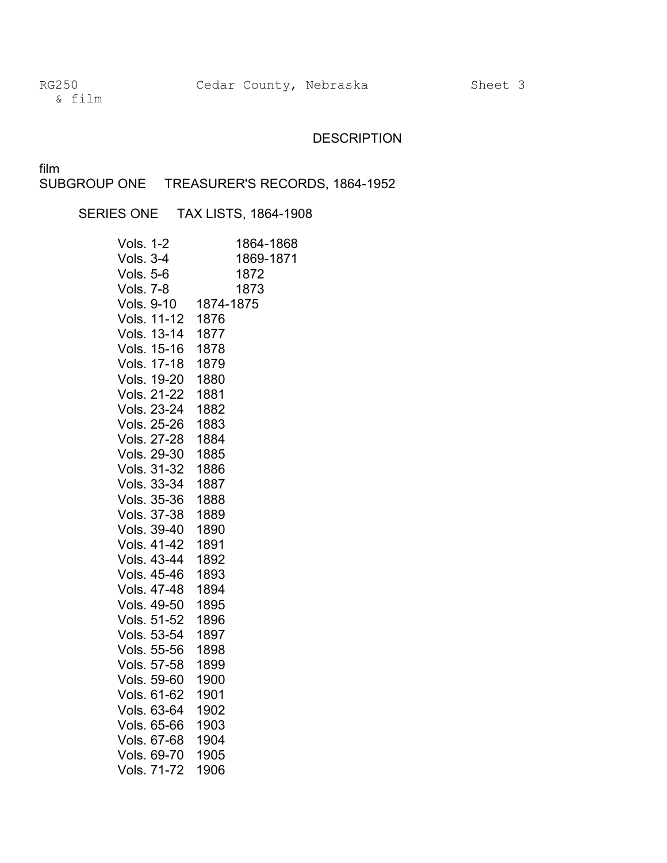& film

### **DESCRIPTION**

film

SUBGROUP ONE TREASURER'S RECORDS, 1864-1952

SERIES ONE TAX LISTS, 1864-1908

| <b>Vols. 1-2</b>   | 1864-1868 |
|--------------------|-----------|
| <b>Vols. 3-4</b>   | 1869-1871 |
| <b>Vols. 5-6</b>   | 1872      |
| <b>Vols. 7-8</b>   | 1873      |
| Vols. 9-10         | 1874-1875 |
| Vols. 11-12        | 1876      |
| Vols. 13-14        | 1877      |
| Vols. 15-16        | 1878      |
| Vols. 17-18        | 1879      |
| Vols. 19-20        | 1880      |
| <b>Vols. 21-22</b> | 1881      |
| Vols. 23-24        | 1882      |
| Vols. 25-26        | 1883      |
| Vols. 27-28        | 1884      |
| Vols. 29-30        | 1885      |
| Vols. 31-32        | 1886      |
| Vols. 33-34        | 1887      |
| Vols. 35-36        | 1888      |
| Vols. 37-38        | 1889      |
| Vols. 39-40        | 1890      |
| Vols. 41-42        | 1891      |
| Vols. 43-44        | 1892      |
| Vols. 45-46        | 1893      |
| Vols. 47-48        | 1894      |
| Vols. 49-50        | 1895      |
| Vols. 51-52        | 1896      |
| Vols. 53-54        | 1897      |
| Vols. 55-56        | 1898      |
| Vols. 57-58        | 1899      |
| Vols. 59-60        | 1900      |
| Vols. 61-62        | 1901      |
| Vols. 63-64        | 1902      |
| Vols. 65-66        | 1903      |
| Vols. 67-68        | 1904      |
| Vols. 69-70        | 1905      |
| Vols. 71-72        | 1906      |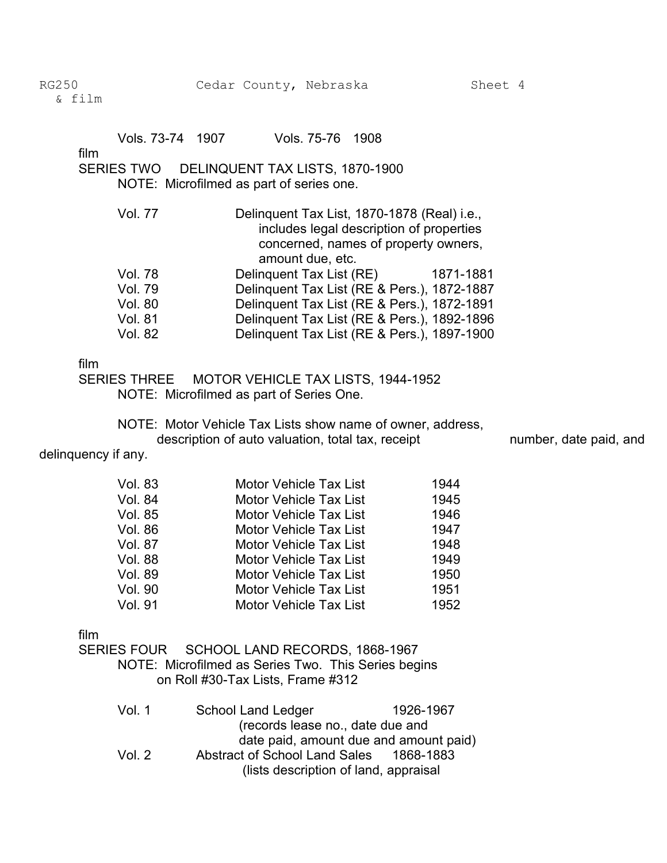| Vols. 73-74 1907 | Vols. 75-76 1908 |  |
|------------------|------------------|--|
|                  |                  |  |

film

#### SERIES TWO DELINQUENT TAX LISTS, 1870-1900 NOTE: Microfilmed as part of series one.

Vol. 77 Delinquent Tax List, 1870-1878 (Real) i.e., includes legal description of properties concerned, names of property owners, amount due, etc. Vol. 78 Delinquent Tax List (RE) 1871-1881 Vol. 79 Delinquent Tax List (RE & Pers.), 1872-1887 Vol. 80 Delinquent Tax List (RE & Pers.), 1872-1891 Vol. 81 Delinquent Tax List (RE & Pers.), 1892-1896 Vol. 82 Delinquent Tax List (RE & Pers.), 1897-1900

#### film

SERIES THREE MOTOR VEHICLE TAX LISTS, 1944-1952 NOTE: Microfilmed as part of Series One.

NOTE: Motor Vehicle Tax Lists show name of owner, address, description of auto valuation, total tax, receipt number, date paid, and

delinquency if any.

| <b>Vol. 83</b> | <b>Motor Vehicle Tax List</b> | 1944 |
|----------------|-------------------------------|------|
| <b>Vol. 84</b> | <b>Motor Vehicle Tax List</b> | 1945 |
| Vol. 85        | <b>Motor Vehicle Tax List</b> | 1946 |
| Vol. 86        | <b>Motor Vehicle Tax List</b> | 1947 |
| Vol. 87        | <b>Motor Vehicle Tax List</b> | 1948 |
| <b>Vol. 88</b> | <b>Motor Vehicle Tax List</b> | 1949 |
| <b>Vol. 89</b> | <b>Motor Vehicle Tax List</b> | 1950 |
| <b>Vol. 90</b> | <b>Motor Vehicle Tax List</b> | 1951 |
| Vol. 91        | <b>Motor Vehicle Tax List</b> | 1952 |

film

SERIES FOUR SCHOOL LAND RECORDS, 1868-1967

NOTE: Microfilmed as Series Two. This Series begins on Roll #30-Tax Lists, Frame #312

| Vol. 1   | School Land Ledger                      | 1926-1967 |
|----------|-----------------------------------------|-----------|
|          | (records lease no., date due and        |           |
|          | date paid, amount due and amount paid)  |           |
| Vol. $2$ | Abstract of School Land Sales 1868-1883 |           |
|          | (lists description of land, appraisal   |           |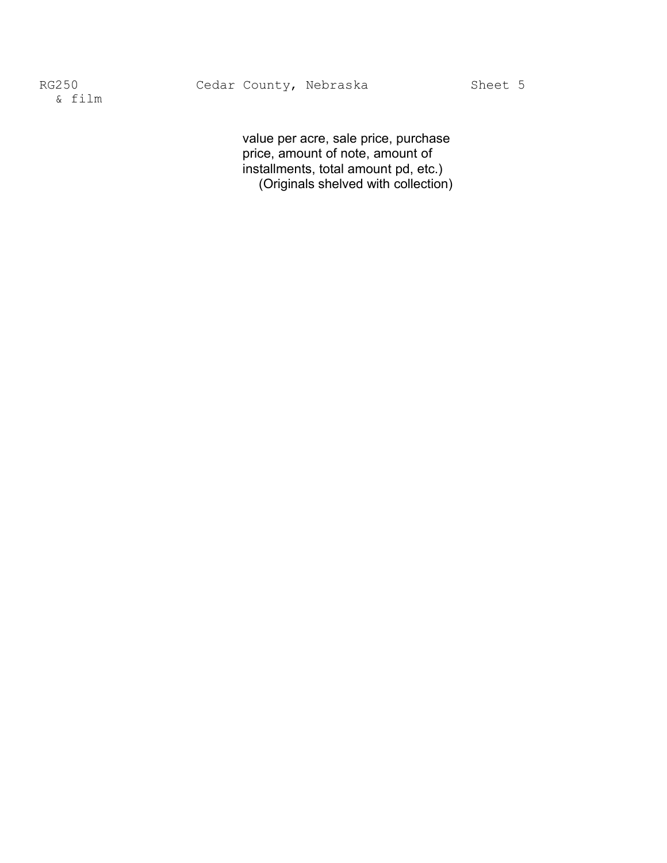value per acre, sale price, purchase price, amount of note, amount of installments, total amount pd, etc.) (Originals shelved with collection)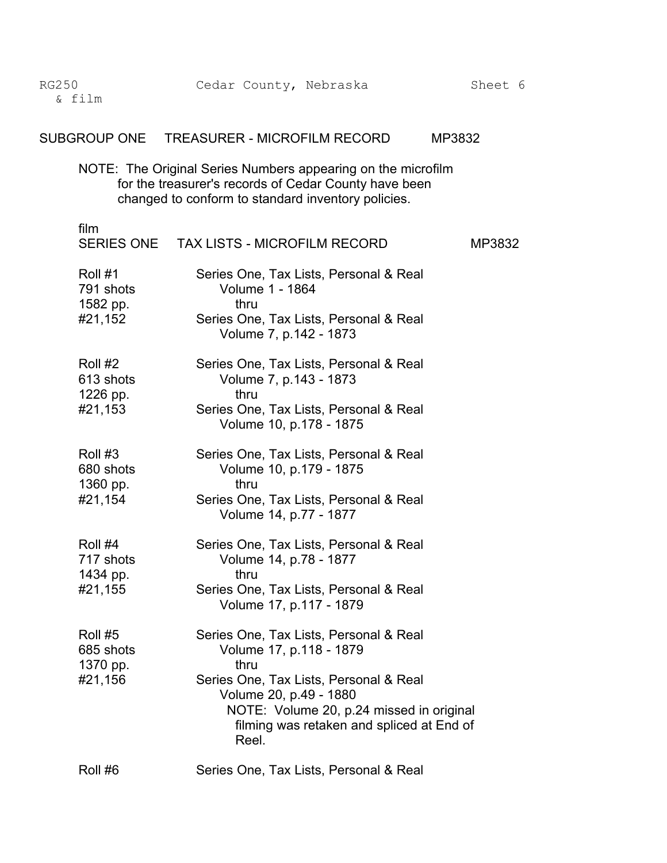| <b>RG250</b><br>& film                      | Cedar County, Nebraska                                                                                                                                                                                                                          | Sheet 6 |
|---------------------------------------------|-------------------------------------------------------------------------------------------------------------------------------------------------------------------------------------------------------------------------------------------------|---------|
|                                             | SUBGROUP ONE TREASURER - MICROFILM RECORD<br>MP3832                                                                                                                                                                                             |         |
|                                             | NOTE: The Original Series Numbers appearing on the microfilm<br>for the treasurer's records of Cedar County have been<br>changed to conform to standard inventory policies.                                                                     |         |
| film                                        | SERIES ONE TAX LISTS - MICROFILM RECORD                                                                                                                                                                                                         | MP3832  |
| Roll #1<br>791 shots<br>1582 pp.<br>#21,152 | Series One, Tax Lists, Personal & Real<br><b>Volume 1 - 1864</b><br>thru<br>Series One, Tax Lists, Personal & Real<br>Volume 7, p.142 - 1873                                                                                                    |         |
| Roll #2<br>613 shots<br>1226 pp.<br>#21,153 | Series One, Tax Lists, Personal & Real<br>Volume 7, p.143 - 1873<br>thru<br>Series One, Tax Lists, Personal & Real<br>Volume 10, p.178 - 1875                                                                                                   |         |
| Roll #3<br>680 shots<br>1360 pp.<br>#21,154 | Series One, Tax Lists, Personal & Real<br>Volume 10, p.179 - 1875<br>thru<br>Series One, Tax Lists, Personal & Real<br>Volume 14, p.77 - 1877                                                                                                   |         |
| Roll #4<br>717 shots<br>1434 pp.<br>#21,155 | Series One, Tax Lists, Personal & Real<br>Volume 14, p.78 - 1877<br>thru<br>Series One, Tax Lists, Personal & Real<br>Volume 17, p.117 - 1879                                                                                                   |         |
| Roll #5<br>685 shots<br>1370 pp.<br>#21,156 | Series One, Tax Lists, Personal & Real<br>Volume 17, p.118 - 1879<br>thru<br>Series One, Tax Lists, Personal & Real<br>Volume 20, p.49 - 1880<br>NOTE: Volume 20, p.24 missed in original<br>filming was retaken and spliced at End of<br>Reel. |         |
| Roll #6                                     | Series One, Tax Lists, Personal & Real                                                                                                                                                                                                          |         |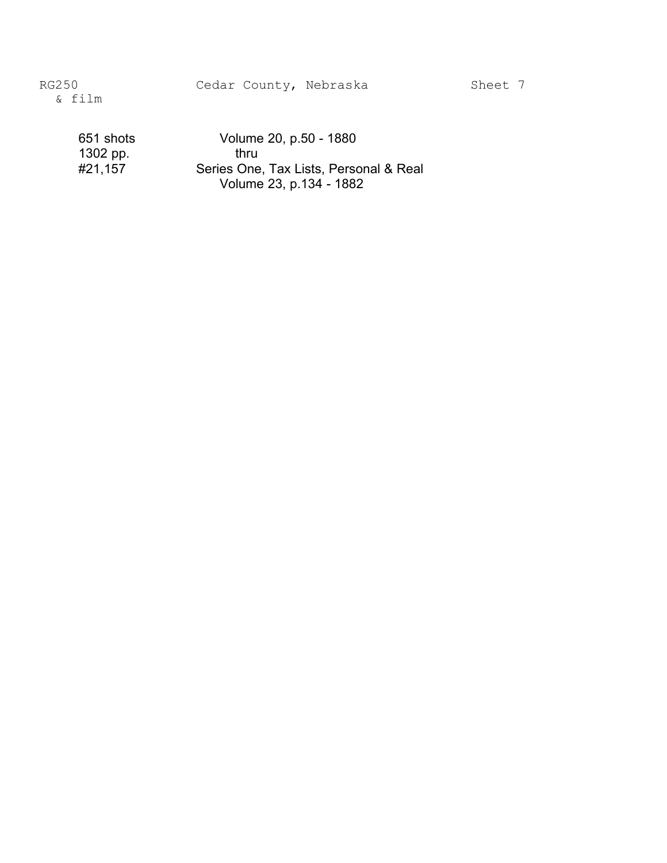Cedar County, Nebraska Sheet 7

RG250 & film

> 651 shots Volume 20, p.50 - 1880 1302 pp. thru<br>#21,157 Series One Series One, Tax Lists, Personal & Real Volume 23, p.134 - 1882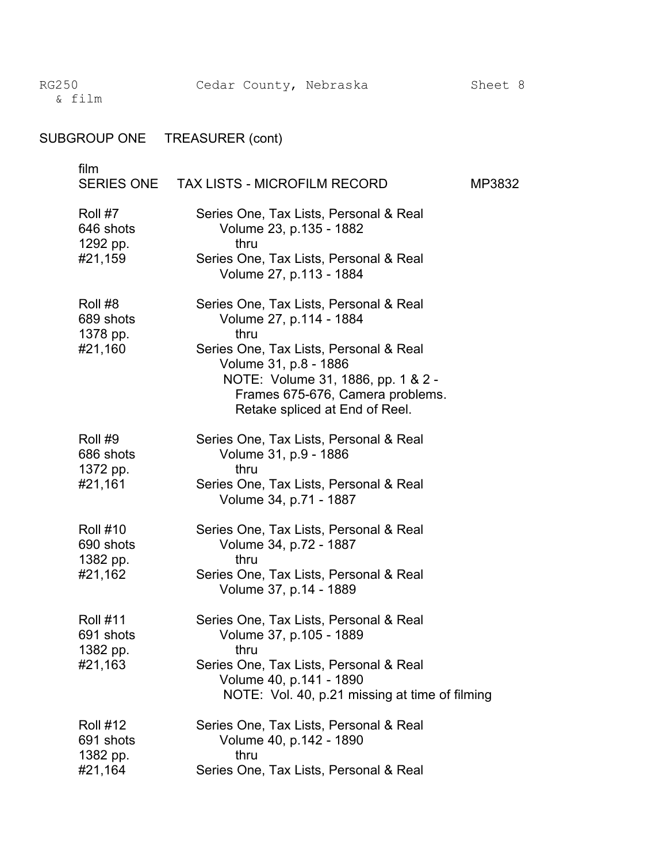| <b>SUBGROUP ONE</b>                                 | <b>TREASURER</b> (cont)                                                                                                                                                                                                                                  |        |
|-----------------------------------------------------|----------------------------------------------------------------------------------------------------------------------------------------------------------------------------------------------------------------------------------------------------------|--------|
| film<br><b>SERIES ONE</b>                           | <b>TAX LISTS - MICROFILM RECORD</b>                                                                                                                                                                                                                      | MP3832 |
| Roll #7<br>646 shots<br>1292 pp.<br>#21,159         | Series One, Tax Lists, Personal & Real<br>Volume 23, p.135 - 1882<br>thru<br>Series One, Tax Lists, Personal & Real<br>Volume 27, p.113 - 1884                                                                                                           |        |
| Roll #8<br>689 shots<br>1378 pp.<br>#21,160         | Series One, Tax Lists, Personal & Real<br>Volume 27, p.114 - 1884<br>thru<br>Series One, Tax Lists, Personal & Real<br>Volume 31, p.8 - 1886<br>NOTE: Volume 31, 1886, pp. 1 & 2 -<br>Frames 675-676, Camera problems.<br>Retake spliced at End of Reel. |        |
| Roll #9<br>686 shots<br>1372 pp.<br>#21,161         | Series One, Tax Lists, Personal & Real<br>Volume 31, p.9 - 1886<br>thru<br>Series One, Tax Lists, Personal & Real<br>Volume 34, p.71 - 1887                                                                                                              |        |
| <b>Roll #10</b><br>690 shots<br>1382 pp.<br>#21,162 | Series One, Tax Lists, Personal & Real<br>Volume 34, p.72 - 1887<br>thru<br>Series One, Tax Lists, Personal & Real<br>Volume 37, p.14 - 1889                                                                                                             |        |
| <b>Roll #11</b><br>691 shots<br>1382 pp.<br>#21,163 | Series One, Tax Lists, Personal & Real<br>Volume 37, p.105 - 1889<br>thru<br>Series One, Tax Lists, Personal & Real<br>Volume 40, p.141 - 1890<br>NOTE: Vol. 40, p.21 missing at time of filming                                                         |        |
| <b>Roll #12</b><br>691 shots<br>1382 pp.<br>#21,164 | Series One, Tax Lists, Personal & Real<br>Volume 40, p.142 - 1890<br>thru<br>Series One, Tax Lists, Personal & Real                                                                                                                                      |        |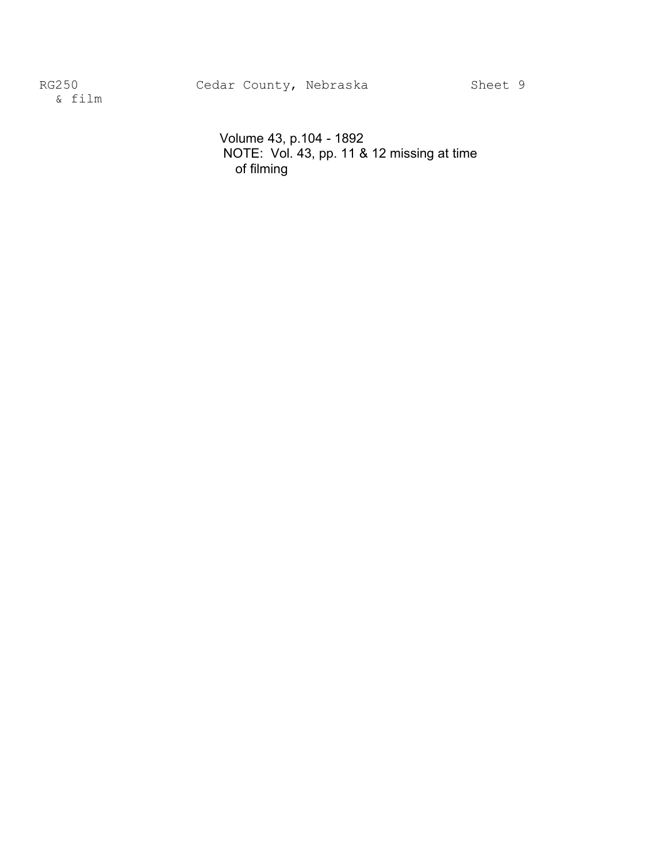RG250 Cedar County, Nebraska Sheet 9

& film �

Volume 43, p.104 - 1892 NOTE: Vol. 43, pp. 11 & 12 missing at time of filming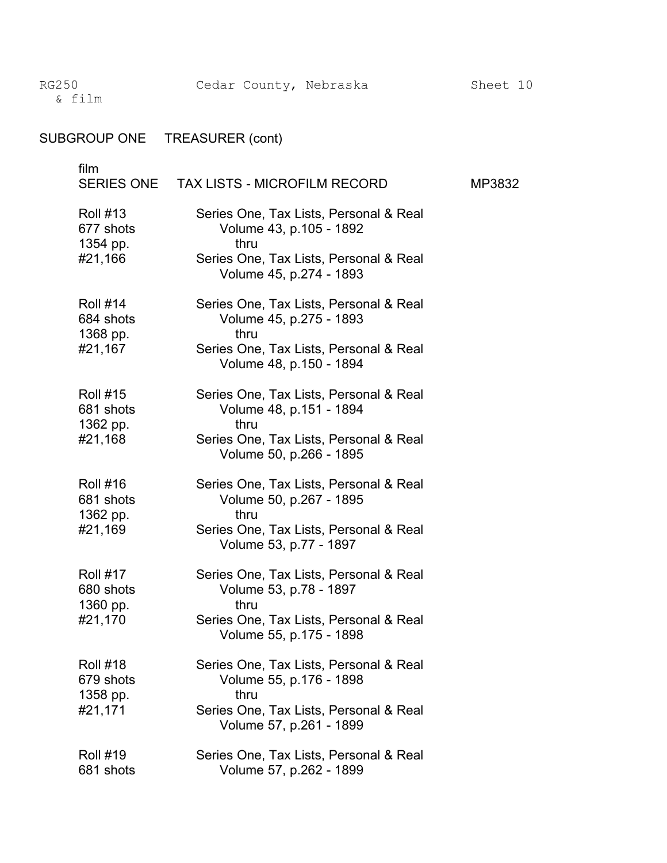| <b>SUBGROUP ONE</b>                                 | TREASURER (cont)                                                                                                                               |        |
|-----------------------------------------------------|------------------------------------------------------------------------------------------------------------------------------------------------|--------|
| film<br><b>SERIES ONE</b>                           | <b>TAX LISTS - MICROFILM RECORD</b>                                                                                                            | MP3832 |
| <b>Roll #13</b><br>677 shots<br>1354 pp.<br>#21,166 | Series One, Tax Lists, Personal & Real<br>Volume 43, p.105 - 1892<br>thru<br>Series One, Tax Lists, Personal & Real<br>Volume 45, p.274 - 1893 |        |
| <b>Roll #14</b><br>684 shots<br>1368 pp.<br>#21,167 | Series One, Tax Lists, Personal & Real<br>Volume 45, p.275 - 1893<br>thru<br>Series One, Tax Lists, Personal & Real<br>Volume 48, p.150 - 1894 |        |
| <b>Roll #15</b><br>681 shots<br>1362 pp.<br>#21,168 | Series One, Tax Lists, Personal & Real<br>Volume 48, p.151 - 1894<br>thru<br>Series One, Tax Lists, Personal & Real<br>Volume 50, p.266 - 1895 |        |
| <b>Roll #16</b><br>681 shots<br>1362 pp.<br>#21,169 | Series One, Tax Lists, Personal & Real<br>Volume 50, p.267 - 1895<br>thru<br>Series One, Tax Lists, Personal & Real<br>Volume 53, p.77 - 1897  |        |
| <b>Roll #17</b><br>680 shots<br>1360 pp.<br>#21,170 | Series One, Tax Lists, Personal & Real<br>Volume 53, p.78 - 1897<br>thru<br>Series One, Tax Lists, Personal & Real<br>Volume 55, p.175 - 1898  |        |
| <b>Roll #18</b><br>679 shots<br>1358 pp.<br>#21,171 | Series One, Tax Lists, Personal & Real<br>Volume 55, p.176 - 1898<br>thru<br>Series One, Tax Lists, Personal & Real<br>Volume 57, p.261 - 1899 |        |
| <b>Roll #19</b><br>681 shots                        | Series One, Tax Lists, Personal & Real<br>Volume 57, p.262 - 1899                                                                              |        |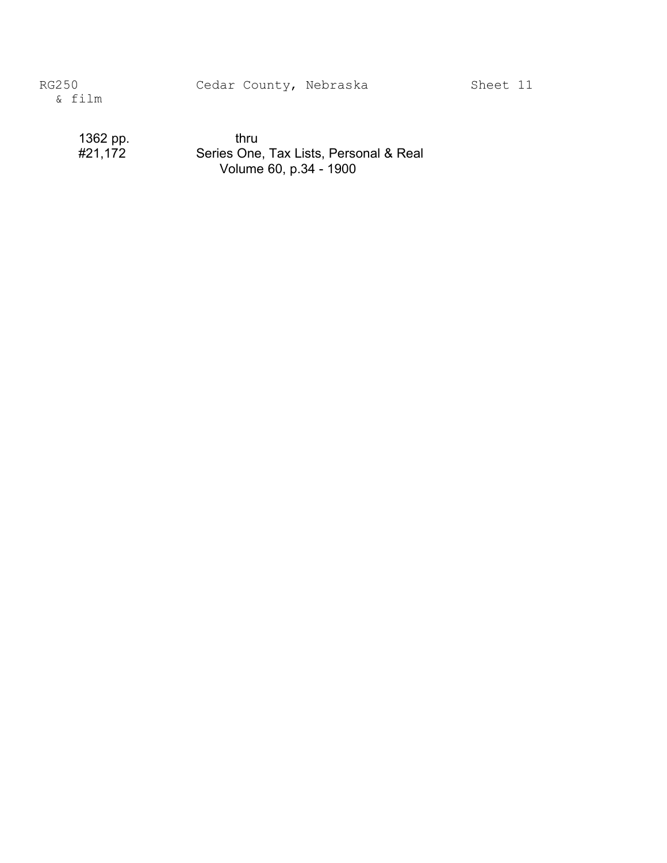1362 pp. thru<br>#21,172 Series One Series One, Tax Lists, Personal & Real Volume 60, p.34 - 1900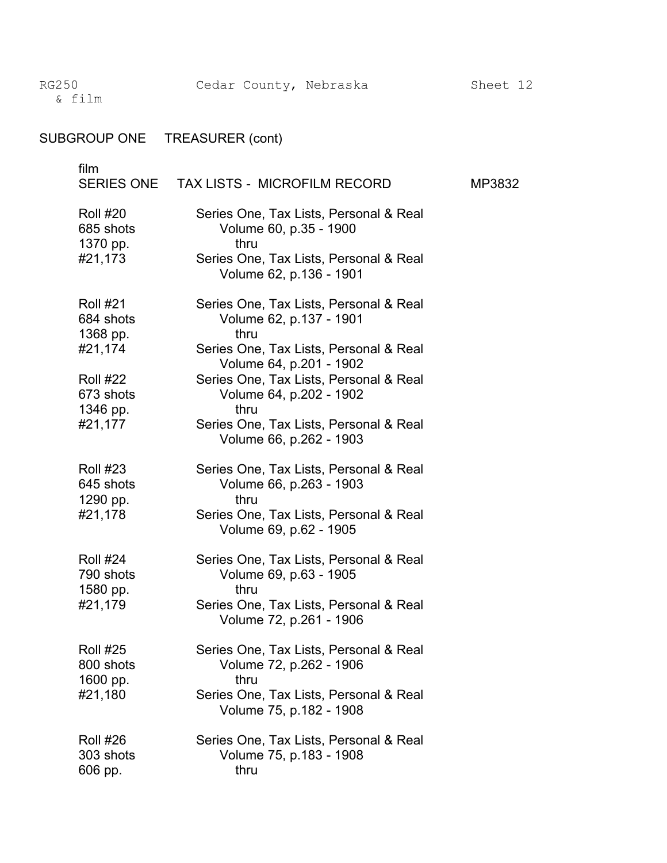| <b>SUBGROUP ONE</b>                                                                                        | <b>TREASURER</b> (cont)                                                                                                                                                                                                                                                                          |        |
|------------------------------------------------------------------------------------------------------------|--------------------------------------------------------------------------------------------------------------------------------------------------------------------------------------------------------------------------------------------------------------------------------------------------|--------|
| film<br><b>SERIES ONE</b>                                                                                  | <b>TAX LISTS - MICROFILM RECORD</b>                                                                                                                                                                                                                                                              | MP3832 |
| <b>Roll #20</b><br>685 shots<br>1370 pp.<br>#21,173                                                        | Series One, Tax Lists, Personal & Real<br>Volume 60, p.35 - 1900<br>thru<br>Series One, Tax Lists, Personal & Real<br>Volume 62, p.136 - 1901                                                                                                                                                    |        |
| <b>Roll #21</b><br>684 shots<br>1368 pp.<br>#21,174<br><b>Roll #22</b><br>673 shots<br>1346 pp.<br>#21,177 | Series One, Tax Lists, Personal & Real<br>Volume 62, p.137 - 1901<br>thru<br>Series One, Tax Lists, Personal & Real<br>Volume 64, p.201 - 1902<br>Series One, Tax Lists, Personal & Real<br>Volume 64, p.202 - 1902<br>thru<br>Series One, Tax Lists, Personal & Real<br>Volume 66, p.262 - 1903 |        |
| <b>Roll #23</b><br>645 shots<br>1290 pp.<br>#21,178                                                        | Series One, Tax Lists, Personal & Real<br>Volume 66, p.263 - 1903<br>thru<br>Series One, Tax Lists, Personal & Real<br>Volume 69, p.62 - 1905                                                                                                                                                    |        |
| <b>Roll #24</b><br>790 shots<br>1580 pp.<br>#21,179                                                        | Series One, Tax Lists, Personal & Real<br>Volume 69, p.63 - 1905<br>thru<br>Series One, Tax Lists, Personal & Real<br>Volume 72, p.261 - 1906                                                                                                                                                    |        |
| <b>Roll #25</b><br>800 shots<br>1600 pp.<br>#21,180                                                        | Series One, Tax Lists, Personal & Real<br>Volume 72, p.262 - 1906<br>thru<br>Series One, Tax Lists, Personal & Real<br>Volume 75, p.182 - 1908                                                                                                                                                   |        |
| <b>Roll #26</b><br>303 shots<br>606 pp.                                                                    | Series One, Tax Lists, Personal & Real<br>Volume 75, p.183 - 1908<br>thru                                                                                                                                                                                                                        |        |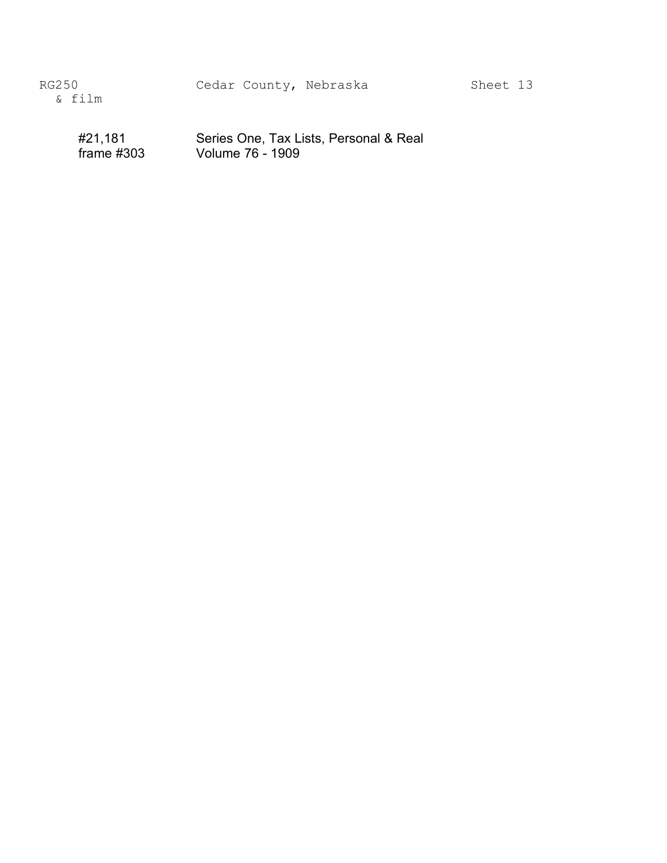#21,181 Series One, Tax Lists, Personal & Real<br>frame #303 Volume 76 - 1909 Volume 76 - 1909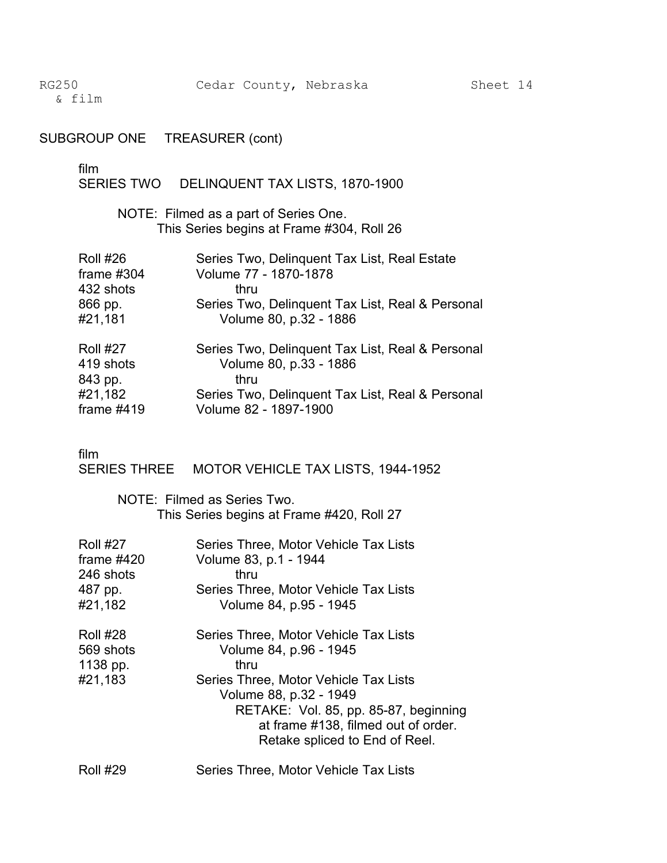## SUBGROUP ONE TREASURER (cont)

film<br>SERIES TWO DELINQUENT TAX LISTS, 1870-1900

> NOTE: Filmed as a part of Series One. This Series begins at Frame #304, Roll 26

| <b>Roll #26</b><br>frame $#304$ | Series Two, Delinquent Tax List, Real Estate<br>Volume 77 - 1870-1878 |
|---------------------------------|-----------------------------------------------------------------------|
| 432 shots                       | thru                                                                  |
| 866 pp.                         | Series Two, Delinquent Tax List, Real & Personal                      |
| #21,181                         | Volume 80, p.32 - 1886                                                |
| <b>Roll #27</b>                 | Series Two, Delinquent Tax List, Real & Personal                      |
| 419 shots                       | Volume 80, p.33 - 1886                                                |
| 843 pp.                         | thru                                                                  |
| #21,182                         | Series Two, Delinquent Tax List, Real & Personal                      |
| frame $#419$                    | Volume 82 - 1897-1900                                                 |

film

SERIES THREE MOTOR VEHICLE TAX LISTS, 1944-1952

NOTE: Filmed as Series Two. This Series begins at Frame #420, Roll 27

| <b>Roll #27</b>                                     | Series Three, Motor Vehicle Tax Lists                                                                                                                                                                                                                        |
|-----------------------------------------------------|--------------------------------------------------------------------------------------------------------------------------------------------------------------------------------------------------------------------------------------------------------------|
| frame $#420$                                        | Volume 83, p.1 - 1944                                                                                                                                                                                                                                        |
| 246 shots                                           | thru                                                                                                                                                                                                                                                         |
| 487 pp.                                             | Series Three, Motor Vehicle Tax Lists                                                                                                                                                                                                                        |
| #21,182                                             | Volume 84, p.95 - 1945                                                                                                                                                                                                                                       |
| <b>Roll #28</b><br>569 shots<br>1138 pp.<br>#21,183 | Series Three, Motor Vehicle Tax Lists<br>Volume 84, p.96 - 1945<br>thru<br>Series Three, Motor Vehicle Tax Lists<br>Volume 88, p.32 - 1949<br>RETAKE: Vol. 85, pp. 85-87, beginning<br>at frame #138, filmed out of order.<br>Retake spliced to End of Reel. |

Roll #29 Series Three, Motor Vehicle Tax Lists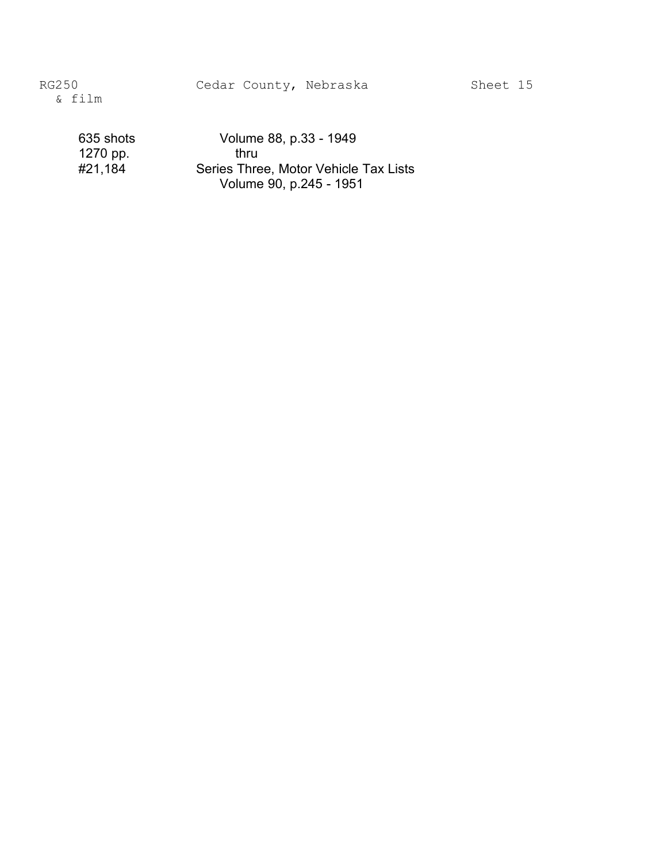Cedar County, Nebraska Sheet 15

635 shots Volume 88, p.33 - 1949 1270 pp. thru<br>#21,184 Series Thre Series Three, Motor Vehicle Tax Lists Volume 90, p.245 - 1951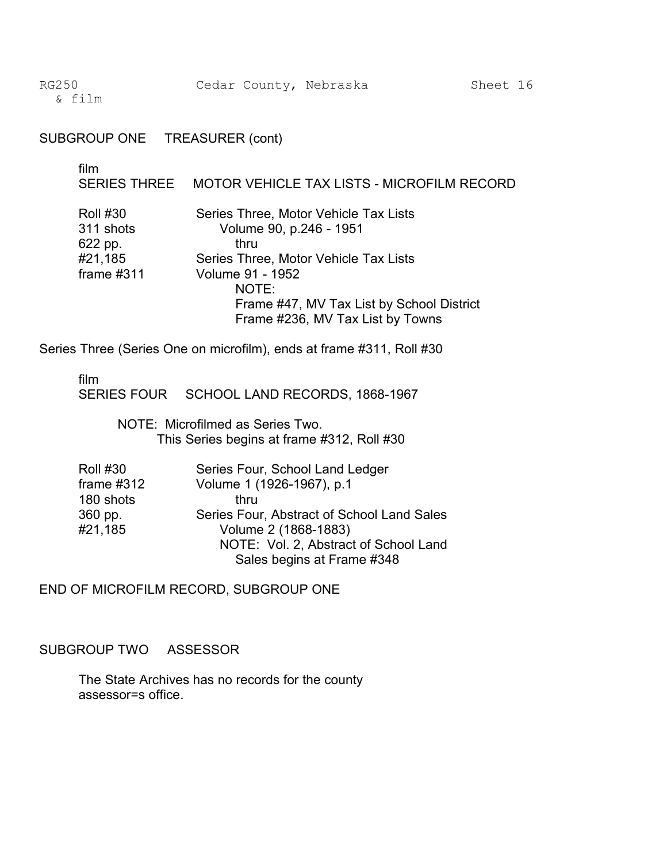#### SUBGROUP ONE TREASURER (cont)

| film                                                               | SERIES THREE MOTOR VEHICLE TAX LISTS - MICROFILM RECORD                                                                                                                                                                                |
|--------------------------------------------------------------------|----------------------------------------------------------------------------------------------------------------------------------------------------------------------------------------------------------------------------------------|
| <b>Roll #30</b><br>311 shots<br>622 pp.<br>#21,185<br>frame $#311$ | Series Three, Motor Vehicle Tax Lists<br>Volume 90, p.246 - 1951<br>thru<br>Series Three, Motor Vehicle Tax Lists<br><b>Volume 91 - 1952</b><br>NOTE:<br>Frame #47, MV Tax List by School District<br>Frame #236, MV Tax List by Towns |

Series Three (Series One on microfilm), ends at frame #311, Roll #30

film

SERIES FOUR SCHOOL LAND RECORDS, 1868-1967

NOTE: Microfilmed as Series Two. This Series begins at frame #312, Roll #30

| <b>Roll #30</b> | Series Four, School Land Ledger            |
|-----------------|--------------------------------------------|
| frame $#312$    | Volume 1 (1926-1967), p.1                  |
| 180 shots       | thru                                       |
| 360 pp.         | Series Four, Abstract of School Land Sales |
| #21,185         | Volume 2 (1868-1883)                       |
|                 | NOTE: Vol. 2, Abstract of School Land      |
|                 | Sales begins at Frame #348                 |

END OF MICROFILM RECORD, SUBGROUP ONE

SUBGROUP TWO ASSESSOR

The State Archives has no records for the county assessor=s office.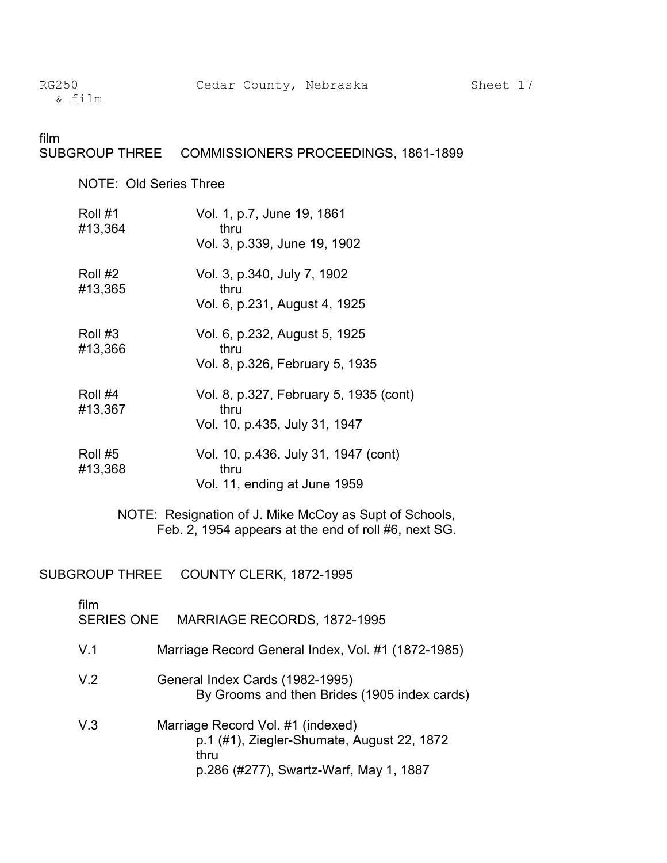#### film SUBGROUP THREE COMMISSIONERS PROCEEDINGS, 1861-1899

NOTE: Old Series Three

| Roll #1<br>#13,364 | Vol. 1, p.7, June 19, 1861<br>thru<br>Vol. 3, p.339, June 19, 1902              |
|--------------------|---------------------------------------------------------------------------------|
| Roll #2<br>#13,365 | Vol. 3, p.340, July 7, 1902<br>thru<br>Vol. 6, p.231, August 4, 1925            |
| Roll #3<br>#13,366 | Vol. 6, p.232, August 5, 1925<br>thru<br>Vol. 8, p.326, February 5, 1935        |
| Roll #4<br>#13,367 | Vol. 8, p.327, February 5, 1935 (cont)<br>thru<br>Vol. 10, p.435, July 31, 1947 |
| Roll #5<br>#13,368 | Vol. 10, p.436, July 31, 1947 (cont)<br>thru                                    |

NOTE: Resignation of J. Mike McCoy as Supt of Schools, Feb. 2, 1954 appears at the end of roll #6, next SG.

Vol. 11, ending at June 1959

SUBGROUP THREE COUNTY CLERK, 1872-1995

| film<br>SERIES ONE | MARRIAGE RECORDS, 1872-1995                                                                                                       |
|--------------------|-----------------------------------------------------------------------------------------------------------------------------------|
| V 1                | Marriage Record General Index, Vol. #1 (1872-1985)                                                                                |
| V <sub>2</sub>     | General Index Cards (1982-1995)<br>By Grooms and then Brides (1905 index cards)                                                   |
| V <sub>3</sub>     | Marriage Record Vol. #1 (indexed)<br>p.1 (#1), Ziegler-Shumate, August 22, 1872<br>thru<br>p.286 (#277), Swartz-Warf, May 1, 1887 |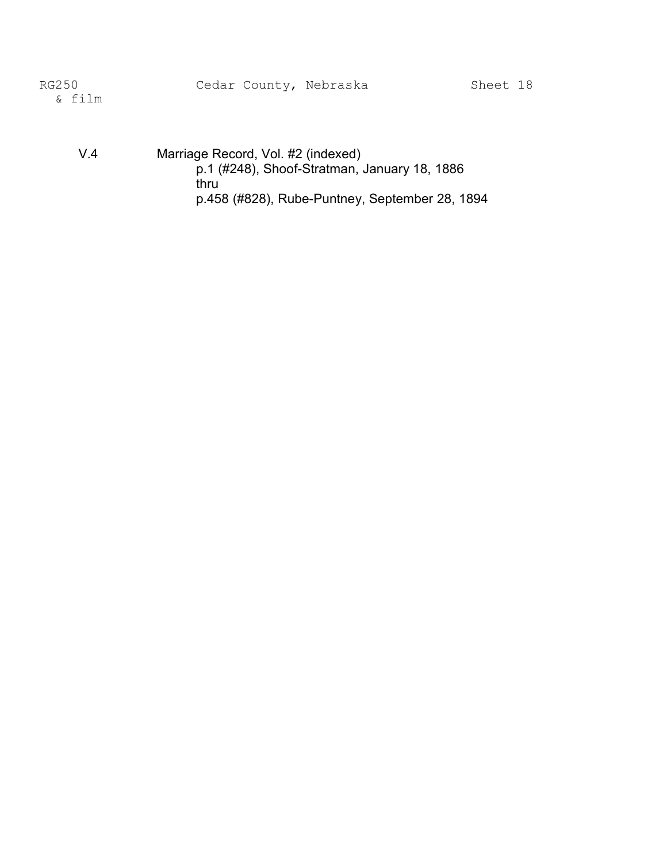V.4 Marriage Record, Vol. #2 (indexed) p.1 (#248), Shoof-Stratman, January 18, 1886 thru p.458 (#828), Rube-Puntney, September 28, 1894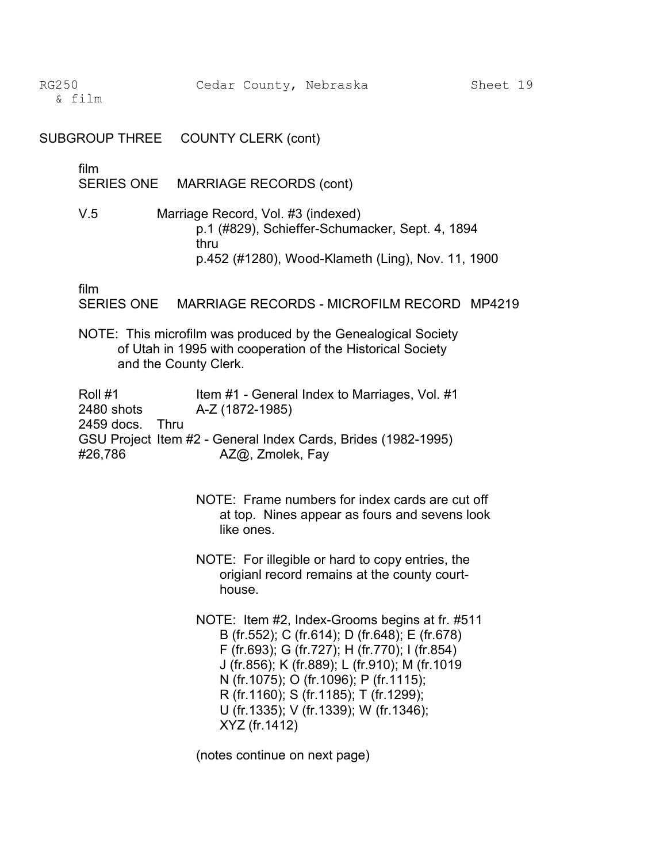& film �

SUBGROUP THREE COUNTY CLERK (cont)

film

SERIES ONE MARRIAGE RECORDS (cont)

V.5 Marriage Record, Vol. #3 (indexed) p.1 (#829), Schieffer-Schumacker, Sept. 4, 1894 thru p.452 (#1280), Wood-Klameth (Ling), Nov. 11, 1900

film

SERIES ONE MARRIAGE RECORDS - MICROFILM RECORD MP4219

NOTE: This microfilm was produced by the Genealogical Society of Utah in 1995 with cooperation of the Historical Society and the County Clerk.

Roll #1 Item #1 - General Index to Marriages, Vol. #1 2480 shots A-Z (1872-1985) 2459 docs. Thru GSU Project Item #2 - General Index Cards, Brides (1982-1995) #26,786 AZ@, Zmolek, Fay

- NOTE: Frame numbers for index cards are cut off at top. Nines appear as fours and sevens look like ones.
- NOTE: For illegible or hard to copy entries, the origianl record remains at the county courthouse.

NOTE: Item #2, Index-Grooms begins at fr. #511 B (fr.552); C (fr.614); D (fr.648); E (fr.678) F (fr.693); G (fr.727); H (fr.770); I (fr.854) J (fr.856); K (fr.889); L (fr.910); M (fr.1019 N (fr.1075); O (fr.1096); P (fr.1115); R (fr.1160); S (fr.1185); T (fr.1299); U (fr.1335); V (fr.1339); W (fr.1346); XYZ (fr.1412)

(notes continue on next page)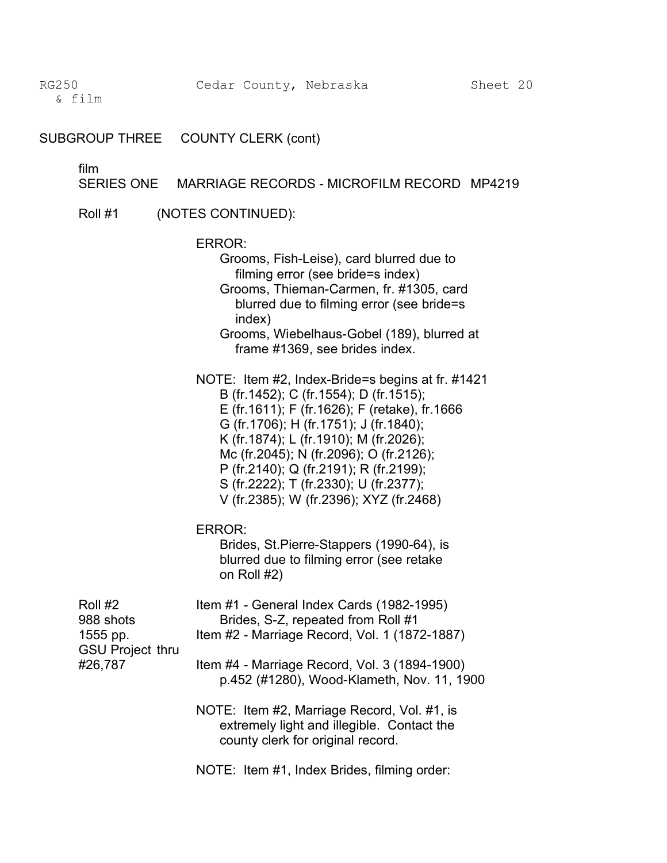SUBGROUP THREE COUNTY CLERK (cont)

film<br>SERIES ONE MARRIAGE RECORDS - MICROFILM RECORD MP4219

Roll #1 (NOTES CONTINUED):

ERROR: Grooms, Fish-Leise), card blurred due to filming error (see bride=s index) Grooms, Thieman-Carmen, fr. #1305, card blurred due to filming error (see bride=s index) Grooms, Wiebelhaus-Gobel (189), blurred at frame #1369, see brides index. NOTE: Item #2, Index-Bride=s begins at fr. #1421 B (fr.1452); C (fr.1554); D (fr.1515); E (fr.1611); F (fr.1626); F (retake), fr.1666 G (fr.1706); H (fr.1751); J (fr.1840); K (fr.1874); L (fr.1910); M (fr.2026); Mc (fr.2045); N (fr.2096); O (fr.2126); P (fr.2140); Q (fr.2191); R (fr.2199); S (fr.2222); T (fr.2330); U (fr.2377); V (fr.2385); W (fr.2396); XYZ (fr.2468) ERROR: Brides, St.Pierre-Stappers (1990-64), is blurred due to filming error (see retake on Roll #2) Roll #2 **Item #1 - General Index Cards (1982-1995)** 988 shots Brides, S-Z, repeated from Roll #1 1555 pp. Item #2 - Marriage Record, Vol. 1 (1872-1887) GSU Project thru #26,787 Item #4 - Marriage Record, Vol. 3 (1894-1900) p.452 (#1280), Wood-Klameth, Nov. 11, 1900 NOTE: Item #2, Marriage Record, Vol. #1, is extremely light and illegible. Contact the county clerk for original record.

NOTE: Item #1, Index Brides, filming order: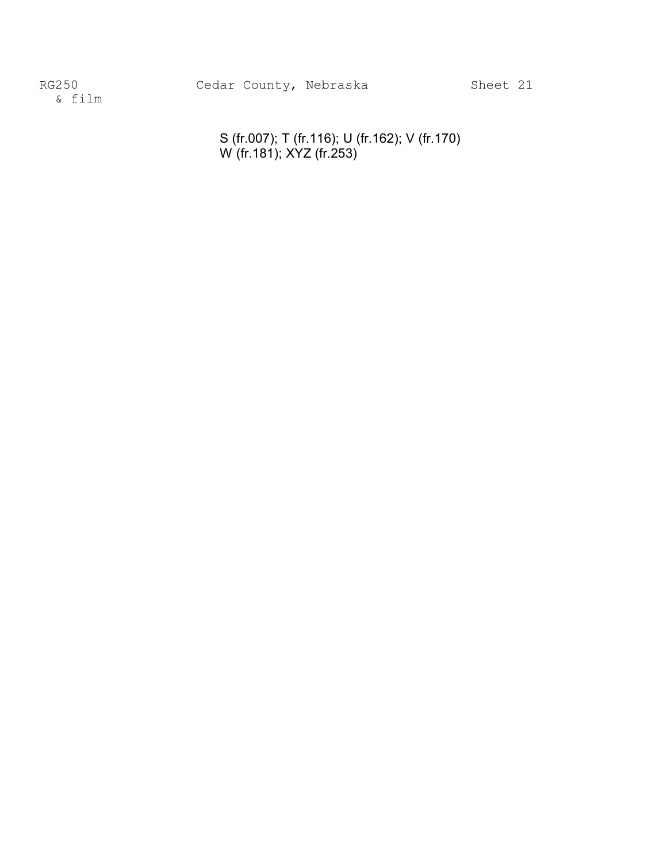> S (fr.007); T (fr.116); U (fr.162); V (fr.170) W (fr.181); XYZ (fr.253)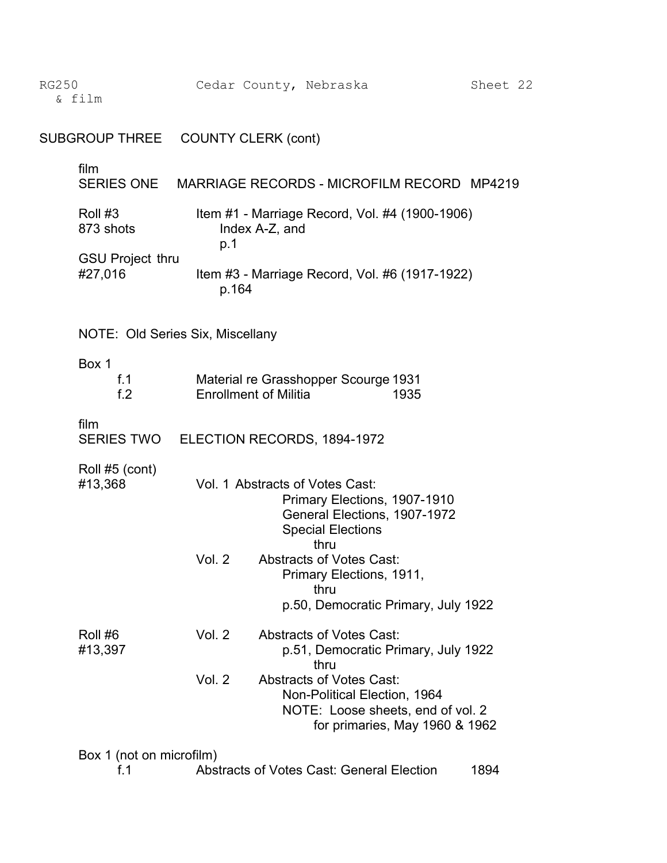& film �

| SUBGROUP THREE                     | <b>COUNTY CLERK (cont)</b> |                                                                                                                                        |
|------------------------------------|----------------------------|----------------------------------------------------------------------------------------------------------------------------------------|
| film<br><b>SERIES ONE</b>          |                            | MARRIAGE RECORDS - MICROFILM RECORD MP4219                                                                                             |
| Roll #3<br>873 shots               | p.1                        | Item #1 - Marriage Record, Vol. #4 (1900-1906)<br>Index A-Z, and                                                                       |
| <b>GSU Project thru</b><br>#27,016 | p.164                      | Item #3 - Marriage Record, Vol. #6 (1917-1922)                                                                                         |
| NOTE: Old Series Six, Miscellany   |                            |                                                                                                                                        |
| Box 1<br>f.1<br>f <sub>2</sub>     |                            | Material re Grasshopper Scourge 1931<br><b>Enrollment of Militia</b><br>1935                                                           |
| film                               |                            | SERIES TWO ELECTION RECORDS, 1894-1972                                                                                                 |
| Roll #5 (cont)<br>#13,368          |                            | Vol. 1 Abstracts of Votes Cast:<br>Primary Elections, 1907-1910<br>General Elections, 1907-1972<br><b>Special Elections</b><br>thru    |
|                                    | Vol. 2                     | <b>Abstracts of Votes Cast:</b><br>Primary Elections, 1911,<br>thru<br>p.50, Democratic Primary, July 1922                             |
| Roll #6<br>#13,397                 | Vol. 2                     | <b>Abstracts of Votes Cast:</b><br>p.51, Democratic Primary, July 1922<br>thru                                                         |
|                                    | Vol. 2                     | <b>Abstracts of Votes Cast:</b><br>Non-Political Election, 1964<br>NOTE: Loose sheets, end of vol. 2<br>for primaries, May 1960 & 1962 |
| Box 1 (not on microfilm)           |                            |                                                                                                                                        |

f.1 Abstracts of Votes Cast: General Election 1894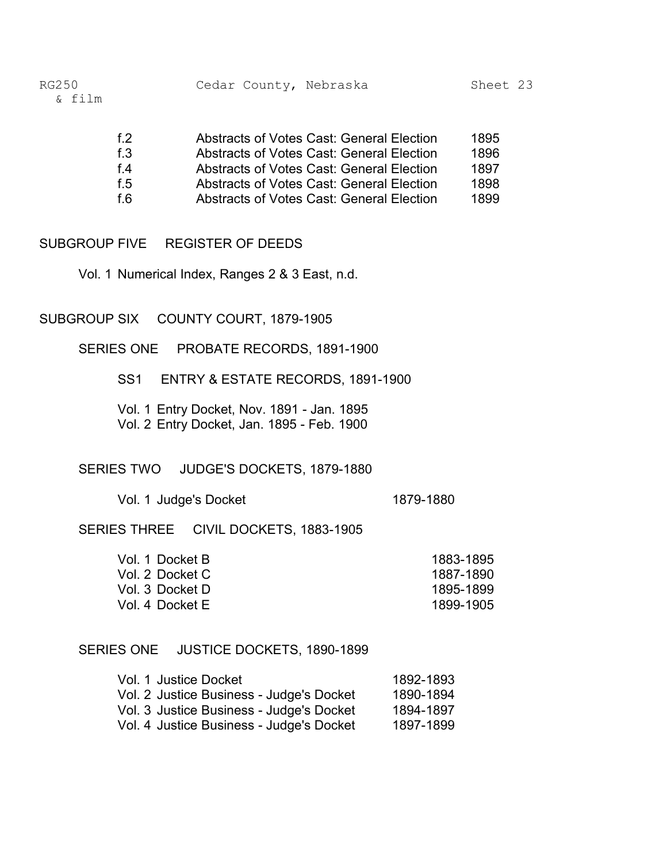| f $2$ | <b>Abstracts of Votes Cast: General Election</b> | 1895 |
|-------|--------------------------------------------------|------|
| f.3   | <b>Abstracts of Votes Cast: General Election</b> | 1896 |
| f 4   | <b>Abstracts of Votes Cast: General Election</b> | 1897 |
| f 5   | <b>Abstracts of Votes Cast: General Election</b> | 1898 |
| f 6   | <b>Abstracts of Votes Cast: General Election</b> | 1899 |

#### SUBGROUP FIVE REGISTER OF DEEDS

Vol. 1 Numerical Index, Ranges 2 & 3 East, n.d.

## SUBGROUP SIX COUNTY COURT, 1879-1905

SERIES ONE PROBATE RECORDS, 1891-1900

SS1 ENTRY & ESTATE RECORDS, 1891-1900

Vol. 1 Entry Docket, Nov. 1891 - Jan. 1895 Vol. 2 Entry Docket, Jan. 1895 - Feb. 1900

#### SERIES TWO JUDGE'S DOCKETS, 1879-1880

Vol. 1 Judge's Docket 1879-1880

SERIES THREE CIVIL DOCKETS, 1883-1905

| 1883-1895 |
|-----------|
| 1887-1890 |
| 1895-1899 |
| 1899-1905 |
|           |

#### SERIES ONE JUSTICE DOCKETS, 1890-1899

| Vol. 1 Justice Docket                    | 1892-1893 |
|------------------------------------------|-----------|
| Vol. 2 Justice Business - Judge's Docket | 1890-1894 |
| Vol. 3 Justice Business - Judge's Docket | 1894-1897 |
| Vol. 4 Justice Business - Judge's Docket | 1897-1899 |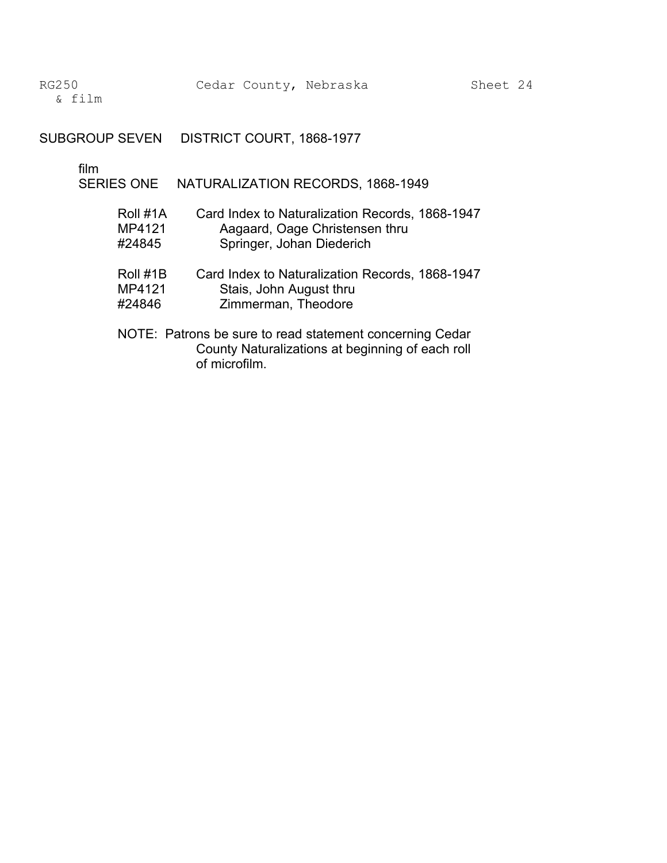SUBGROUP SEVEN DISTRICT COURT, 1868-1977

film

SERIES ONE NATURALIZATION RECORDS, 1868-1949

| Roll #1A | Card Index to Naturalization Records, 1868-1947                                                                               |
|----------|-------------------------------------------------------------------------------------------------------------------------------|
| MP4121   | Aagaard, Oage Christensen thru                                                                                                |
| #24845   | Springer, Johan Diederich                                                                                                     |
| Roll #1B | Card Index to Naturalization Records, 1868-1947                                                                               |
| MP4121   | Stais, John August thru                                                                                                       |
| #24846   | Zimmerman, Theodore                                                                                                           |
|          | NOTE: Patrons be sure to read statement concerning Cedar<br>County Naturalizations at beginning of each roll<br>of microfilm. |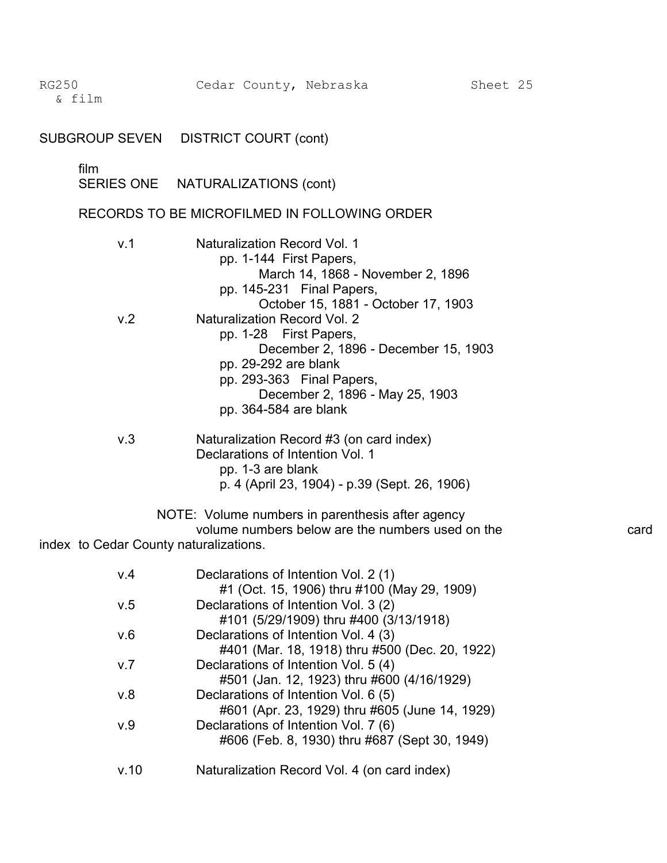|                                        | SUBGROUP SEVEN DISTRICT COURT (cont)                                                                                                                                                                                                                                                       |      |
|----------------------------------------|--------------------------------------------------------------------------------------------------------------------------------------------------------------------------------------------------------------------------------------------------------------------------------------------|------|
| film                                   | SERIES ONE NATURALIZATIONS (cont)                                                                                                                                                                                                                                                          |      |
|                                        | RECORDS TO BE MICROFILMED IN FOLLOWING ORDER                                                                                                                                                                                                                                               |      |
| v.1                                    | Naturalization Record Vol. 1<br>pp. 1-144 First Papers,<br>March 14, 1868 - November 2, 1896                                                                                                                                                                                               |      |
| v.2                                    | pp. 145-231 Final Papers,<br>October 15, 1881 - October 17, 1903<br><b>Naturalization Record Vol. 2</b><br>pp. 1-28 First Papers,<br>December 2, 1896 - December 15, 1903<br>pp. 29-292 are blank<br>pp. 293-363 Final Papers,<br>December 2, 1896 - May 25, 1903<br>pp. 364-584 are blank |      |
| v.3                                    | Naturalization Record #3 (on card index)<br>Declarations of Intention Vol. 1<br>pp. 1-3 are blank<br>p. 4 (April 23, 1904) - p.39 (Sept. 26, 1906)                                                                                                                                         |      |
| index to Cedar County naturalizations. | NOTE: Volume numbers in parenthesis after agency<br>volume numbers below are the numbers used on the                                                                                                                                                                                       | card |
| V.4                                    | Declarations of Intention Vol. 2 (1)                                                                                                                                                                                                                                                       |      |
| v.5                                    | #1 (Oct. 15, 1906) thru #100 (May 29, 1909)<br>Declarations of Intention Vol. 3 (2)                                                                                                                                                                                                        |      |
| v.6                                    | #101 (5/29/1909) thru #400 (3/13/1918)<br>Declarations of Intention Vol. 4 (3)                                                                                                                                                                                                             |      |

| Naturalization Record Vol. 4 (on card index) |
|----------------------------------------------|
|                                              |

v.7 Declarations of Intention Vol. 5 (4)

v.8 Declarations of Intention Vol. 6 (5)

v.9 Declarations of Intention Vol. 7 (6)

#401 (Mar. 18, 1918) thru #500 (Dec. 20, 1922)

#601 (Apr. 23, 1929) thru #605 (June 14, 1929)

#606 (Feb. 8, 1930) thru #687 (Sept 30, 1949)

#501 (Jan. 12, 1923) thru #600 (4/16/1929)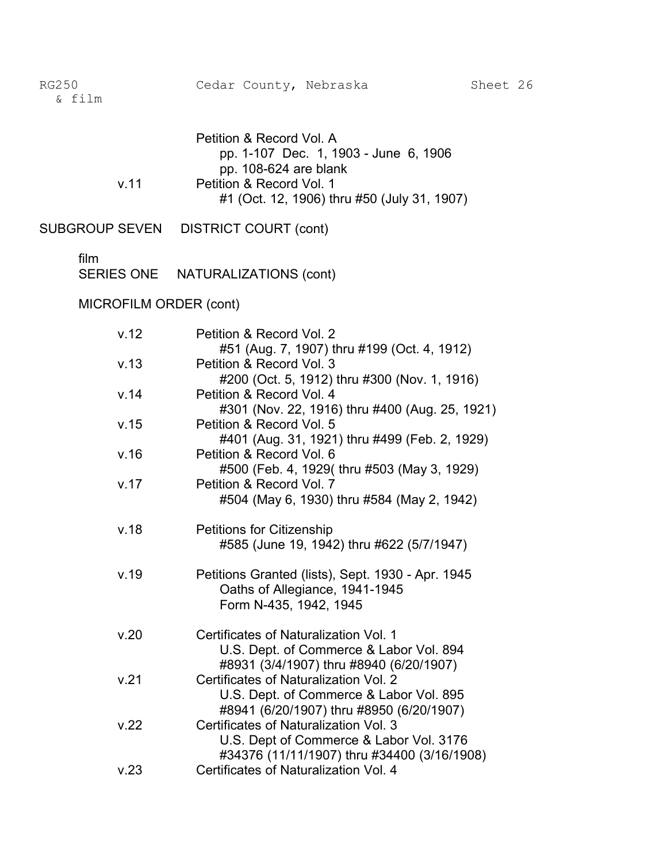|      | Petition & Record Vol. A                    |
|------|---------------------------------------------|
|      | pp. 1-107 Dec. 1, 1903 - June 6, 1906       |
|      | pp. 108-624 are blank                       |
| v 11 | Petition & Record Vol. 1                    |
|      | #1 (Oct. 12, 1906) thru #50 (July 31, 1907) |

SUBGROUP SEVEN DISTRICT COURT (cont)

### film

SERIES ONE NATURALIZATIONS (cont)

## MICROFILM ORDER (cont)

| v.12 | Petition & Record Vol. 2                                                            |
|------|-------------------------------------------------------------------------------------|
| v.13 | #51 (Aug. 7, 1907) thru #199 (Oct. 4, 1912)<br>Petition & Record Vol. 3             |
|      | #200 (Oct. 5, 1912) thru #300 (Nov. 1, 1916)                                        |
| v.14 | Petition & Record Vol. 4                                                            |
|      | #301 (Nov. 22, 1916) thru #400 (Aug. 25, 1921)                                      |
| v.15 | Petition & Record Vol. 5                                                            |
| v.16 | #401 (Aug. 31, 1921) thru #499 (Feb. 2, 1929)<br>Petition & Record Vol. 6           |
|      | #500 (Feb. 4, 1929(thru #503 (May 3, 1929)                                          |
| v.17 | Petition & Record Vol. 7                                                            |
|      | #504 (May 6, 1930) thru #584 (May 2, 1942)                                          |
| v.18 | <b>Petitions for Citizenship</b>                                                    |
|      | #585 (June 19, 1942) thru #622 (5/7/1947)                                           |
| v.19 | Petitions Granted (lists), Sept. 1930 - Apr. 1945                                   |
|      | Oaths of Allegiance, 1941-1945                                                      |
|      | Form N-435, 1942, 1945                                                              |
| v.20 | Certificates of Naturalization Vol. 1                                               |
|      | U.S. Dept. of Commerce & Labor Vol. 894                                             |
|      | #8931 (3/4/1907) thru #8940 (6/20/1907)                                             |
| v.21 | Certificates of Naturalization Vol. 2                                               |
|      | U.S. Dept. of Commerce & Labor Vol. 895<br>#8941 (6/20/1907) thru #8950 (6/20/1907) |
| v.22 | Certificates of Naturalization Vol. 3                                               |
|      | U.S. Dept of Commerce & Labor Vol. 3176                                             |
|      | #34376 (11/11/1907) thru #34400 (3/16/1908)                                         |
| v.23 | Certificates of Naturalization Vol. 4                                               |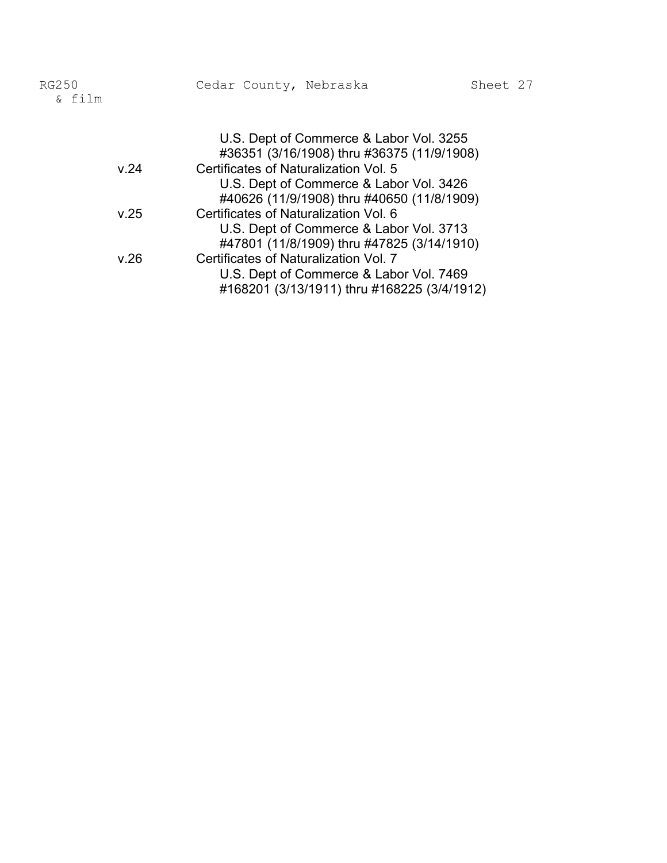| RG250<br>& film |      | Cedar County, Nebraska                |                                            | Sheet 27 |  |
|-----------------|------|---------------------------------------|--------------------------------------------|----------|--|
|                 |      |                                       | U.S. Dept of Commerce & Labor Vol. 3255    |          |  |
|                 |      |                                       | #36351 (3/16/1908) thru #36375 (11/9/1908) |          |  |
|                 | V.24 | Certificates of Naturalization Vol. 5 |                                            |          |  |
|                 |      |                                       | U.S. Dept of Commerce & Labor Vol. 3426    |          |  |
|                 |      |                                       | #40626 (11/9/1908) thru #40650 (11/8/1909) |          |  |
|                 | v.25 | Certificates of Naturalization Vol. 6 |                                            |          |  |
|                 |      |                                       | U.S. Dept of Commerce & Labor Vol. 3713    |          |  |
|                 |      |                                       | #47801 (11/8/1909) thru #47825 (3/14/1910) |          |  |
|                 | v.26 | Certificates of Naturalization Vol. 7 |                                            |          |  |
|                 |      |                                       | U.S. Dept of Commerce & Labor Vol. 7469    |          |  |

#168201 (3/13/1911) thru #168225 (3/4/1912)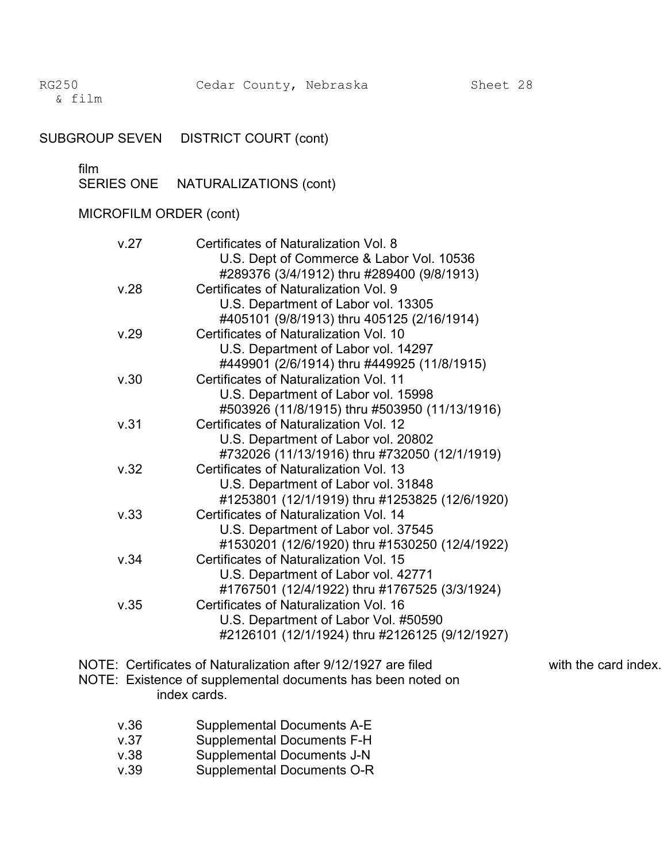& film �

## SUBGROUP SEVEN DISTRICT COURT (cont)

# film<br>SEF

| SERIES ONE | NATURALIZATIONS (cont) |  |
|------------|------------------------|--|
|------------|------------------------|--|

## MICROFILM ORDER (cont)

| V.27 | Certificates of Naturalization Vol. 8<br>U.S. Dept of Commerce & Labor Vol. 10536 |
|------|-----------------------------------------------------------------------------------|
|      | #289376 (3/4/1912) thru #289400 (9/8/1913)                                        |
| v.28 | Certificates of Naturalization Vol. 9                                             |
|      | U.S. Department of Labor vol. 13305                                               |
|      | #405101 (9/8/1913) thru 405125 (2/16/1914)                                        |
| v.29 | Certificates of Naturalization Vol. 10                                            |
|      | U.S. Department of Labor vol. 14297                                               |
|      | #449901 (2/6/1914) thru #449925 (11/8/1915)                                       |
| v.30 | Certificates of Naturalization Vol. 11                                            |
|      | U.S. Department of Labor vol. 15998                                               |
|      | #503926 (11/8/1915) thru #503950 (11/13/1916)                                     |
| v.31 | Certificates of Naturalization Vol. 12                                            |
|      | U.S. Department of Labor vol. 20802                                               |
|      | #732026 (11/13/1916) thru #732050 (12/1/1919)                                     |
| v.32 | Certificates of Naturalization Vol. 13                                            |
|      | U.S. Department of Labor vol. 31848                                               |
|      | #1253801 (12/1/1919) thru #1253825 (12/6/1920)                                    |
| v.33 | Certificates of Naturalization Vol. 14                                            |
|      | U.S. Department of Labor vol. 37545                                               |
|      | #1530201 (12/6/1920) thru #1530250 (12/4/1922)                                    |
| v.34 | Certificates of Naturalization Vol. 15                                            |
|      | U.S. Department of Labor vol. 42771                                               |
|      | #1767501 (12/4/1922) thru #1767525 (3/3/1924)                                     |
| v.35 | Certificates of Naturalization Vol. 16                                            |
|      | U.S. Department of Labor Vol. #50590                                              |
|      | #2126101 (12/1/1924) thru #2126125 (9/12/1927)                                    |

- NOTE: Certificates of Naturalization after 9/12/1927 are filed with the card index.
- NOTE: Existence of supplemental documents has been noted on index cards.

- - v.36 Supplemental Documents A-E
	- v.37 Supplemental Documents F-H
	- v.38 Supplemental Documents J-N
	- v.39 Supplemental Documents O-R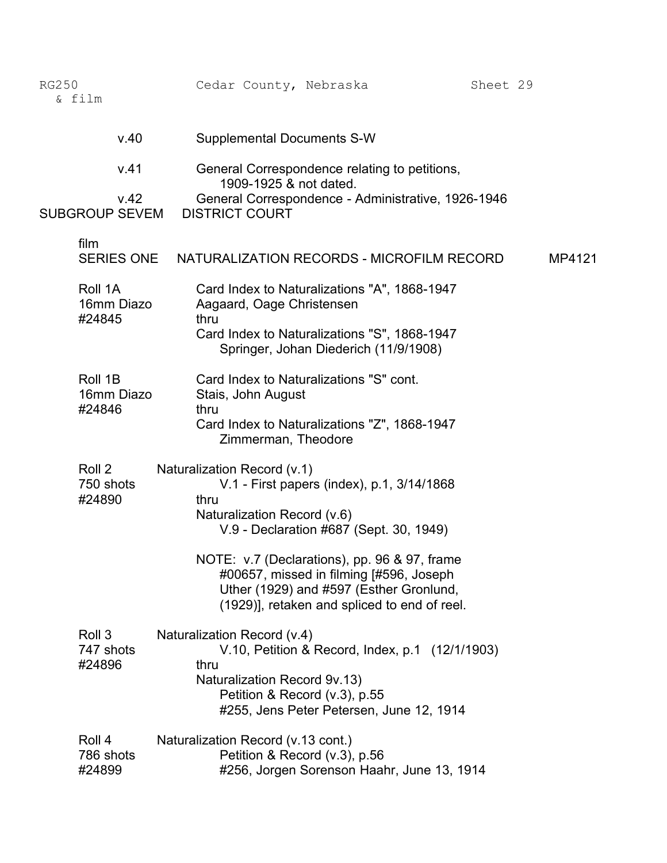| <b>RG250</b><br>& film          | Cedar County, Nebraska                                                                                                                                                                              | Sheet 29 |
|---------------------------------|-----------------------------------------------------------------------------------------------------------------------------------------------------------------------------------------------------|----------|
| v.40                            | <b>Supplemental Documents S-W</b>                                                                                                                                                                   |          |
| v.41                            | General Correspondence relating to petitions,<br>1909-1925 & not dated.                                                                                                                             |          |
| v.42<br><b>SUBGROUP SEVEM</b>   | General Correspondence - Administrative, 1926-1946<br><b>DISTRICT COURT</b>                                                                                                                         |          |
| film<br><b>SERIES ONE</b>       | NATURALIZATION RECORDS - MICROFILM RECORD                                                                                                                                                           | MP4121   |
| Roll 1A<br>16mm Diazo<br>#24845 | Card Index to Naturalizations "A", 1868-1947<br>Aagaard, Oage Christensen<br>thru                                                                                                                   |          |
|                                 | Card Index to Naturalizations "S", 1868-1947<br>Springer, Johan Diederich (11/9/1908)                                                                                                               |          |
| Roll 1B<br>16mm Diazo<br>#24846 | Card Index to Naturalizations "S" cont.<br>Stais, John August<br>thru                                                                                                                               |          |
|                                 | Card Index to Naturalizations "Z", 1868-1947<br>Zimmerman, Theodore                                                                                                                                 |          |
| Roll 2<br>750 shots<br>#24890   | Naturalization Record (v.1)<br>V.1 - First papers (index), p.1, 3/14/1868<br>thru<br>Naturalization Record (v.6)<br>V.9 - Declaration #687 (Sept. 30, 1949)                                         |          |
|                                 | NOTE: v.7 (Declarations), pp. 96 & 97, frame<br>#00657, missed in filming [#596, Joseph<br>Uther (1929) and #597 (Esther Gronlund,<br>(1929)], retaken and spliced to end of reel.                  |          |
| Roll 3<br>747 shots<br>#24896   | Naturalization Record (v.4)<br>V.10, Petition & Record, Index, p.1 (12/1/1903)<br>thru<br>Naturalization Record 9v.13)<br>Petition & Record (v.3), p.55<br>#255, Jens Peter Petersen, June 12, 1914 |          |
| Roll 4<br>786 shots<br>#24899   | Naturalization Record (v.13 cont.)<br>Petition & Record (v.3), p.56<br>#256, Jorgen Sorenson Haahr, June 13, 1914                                                                                   |          |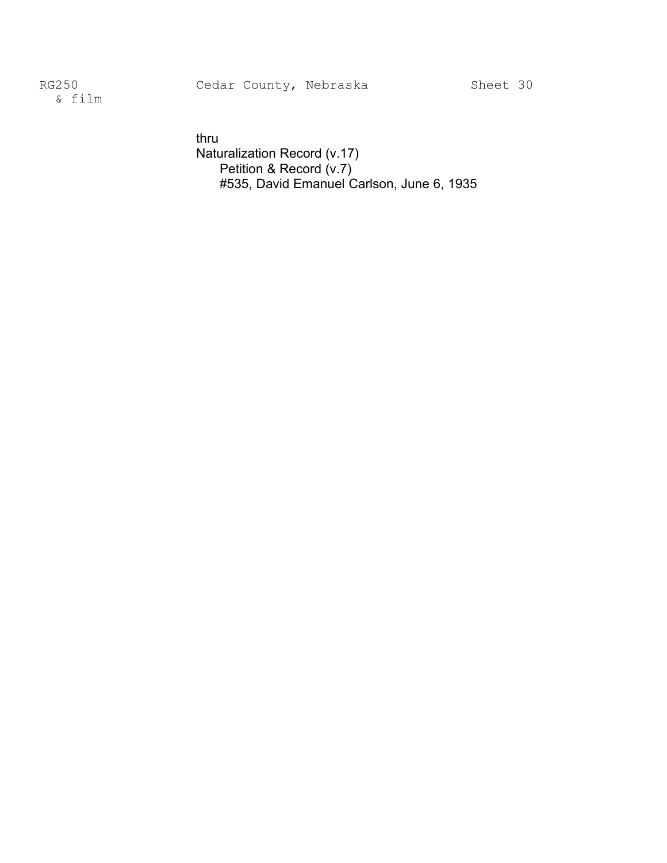& film �

thru Naturalization Record (v.17) Petition & Record (v.7) #535, David Emanuel Carlson, June 6, 1935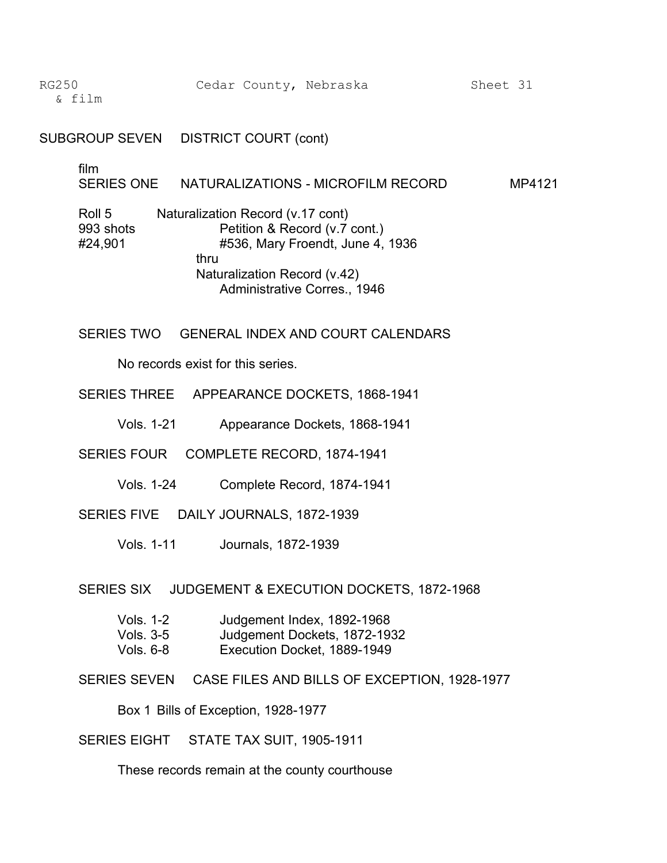SUBGROUP SEVEN DISTRICT COURT (cont)

film

SERIES ONE NATURALIZATIONS - MICROFILM RECORD MP4121

Roll 5 Naturalization Record (v.17 cont) 993 shots **Petition & Record (v.7 cont.)** #24,901 #536, Mary Froendt, June 4, 1936 thru Naturalization Record (v.42) Administrative Corres., 1946

SERIES TWO GENERAL INDEX AND COURT CALENDARS

No records exist for this series.

- SERIES THREE APPEARANCE DOCKETS, 1868-1941
	- Vols. 1-21 Appearance Dockets, 1868-1941
- SERIES FOUR COMPLETE RECORD, 1874-1941
	- Vols. 1-24 Complete Record, 1874-1941
- SERIES FIVE DAILY JOURNALS, 1872-1939
	- Vols. 1-11 Journals, 1872-1939

SERIES SIX JUDGEMENT & EXECUTION DOCKETS, 1872-1968

| Vols. 1-2 | Judgement Index, 1892-1968   |
|-----------|------------------------------|
| Vols, 3-5 | Judgement Dockets, 1872-1932 |
| Vols, 6-8 | Execution Docket, 1889-1949  |

SERIES SEVEN CASE FILES AND BILLS OF EXCEPTION, 1928-1977

Box 1 Bills of Exception, 1928-1977

SERIES EIGHT STATE TAX SUIT, 1905-1911

These records remain at the county courthouse